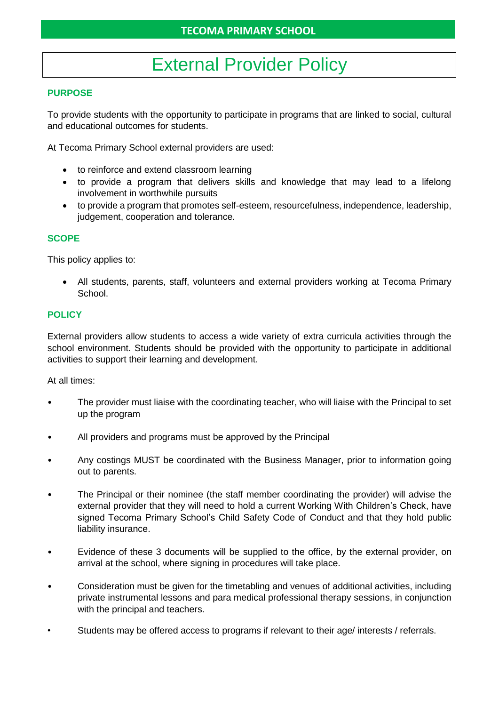# External Provider Policy

### **PURPOSE**

To provide students with the opportunity to participate in programs that are linked to social, cultural and educational outcomes for students.

At Tecoma Primary School external providers are used:

- to reinforce and extend classroom learning
- to provide a program that delivers skills and knowledge that may lead to a lifelong involvement in worthwhile pursuits
- to provide a program that promotes self-esteem, resourcefulness, independence, leadership, judgement, cooperation and tolerance.

### **SCOPE**

This policy applies to:

• All students, parents, staff, volunteers and external providers working at Tecoma Primary School.

#### **POLICY**

External providers allow students to access a wide variety of extra curricula activities through the school environment. Students should be provided with the opportunity to participate in additional activities to support their learning and development.

At all times:

- The provider must liaise with the coordinating teacher, who will liaise with the Principal to set up the program
- All providers and programs must be approved by the Principal
- Any costings MUST be coordinated with the Business Manager, prior to information going out to parents.
- The Principal or their nominee (the staff member coordinating the provider) will advise the external provider that they will need to hold a current Working With Children's Check, have signed Tecoma Primary School's Child Safety Code of Conduct and that they hold public liability insurance.
- Evidence of these 3 documents will be supplied to the office, by the external provider, on arrival at the school, where signing in procedures will take place.
- Consideration must be given for the timetabling and venues of additional activities, including private instrumental lessons and para medical professional therapy sessions, in conjunction with the principal and teachers.
- Students may be offered access to programs if relevant to their age/ interests / referrals.